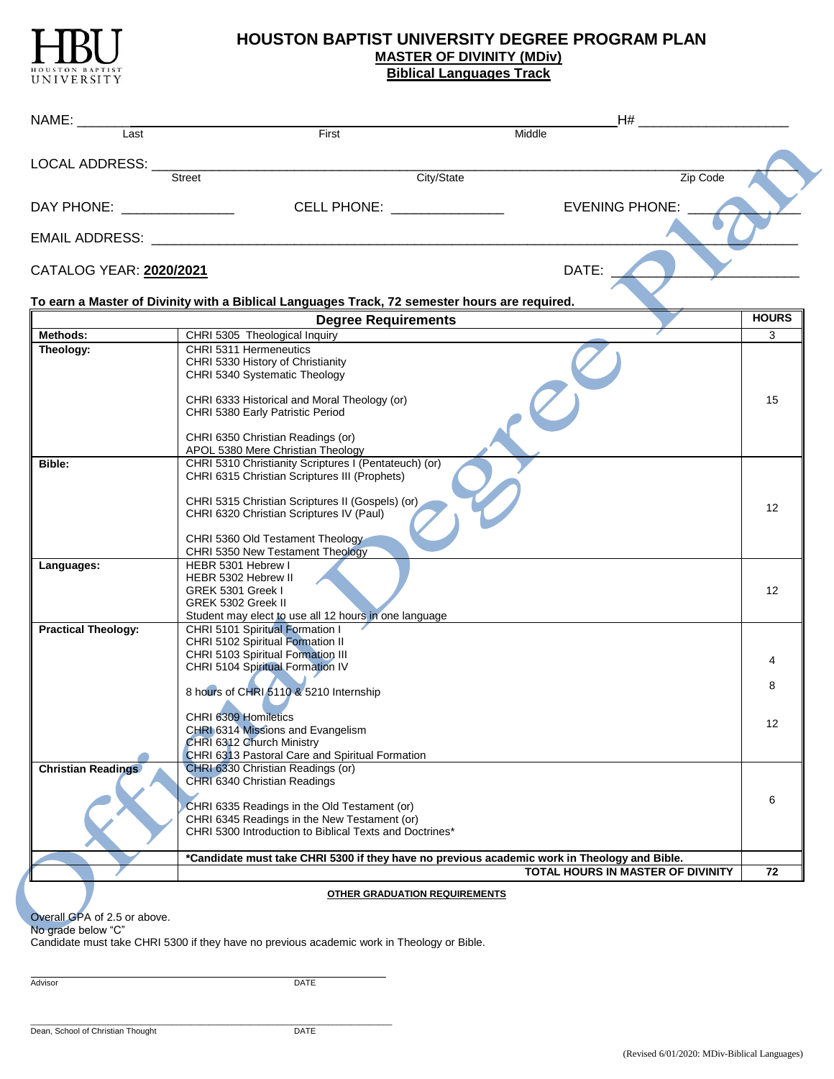

## **HOUSTON BAPTIST UNIVERSITY DEGREE PROGRAM PLAN MASTER OF DIVINITY (MDiv) Biblical Languages Track**

|                              |                                                                                               | $H#$ and $H$ and $H$ and $H$ and $H$ and $H$ and $H$ and $H$ and $H$ and $H$ and $H$ and $H$ and $H$ and $H$ and $H$ and $H$ and $H$ and $H$ and $H$ and $H$ and $H$ and $H$ and $H$ and $H$ and $H$ and $H$ and $H$ and $H$ |                 |
|------------------------------|-----------------------------------------------------------------------------------------------|------------------------------------------------------------------------------------------------------------------------------------------------------------------------------------------------------------------------------|-----------------|
| Last                         | First                                                                                         | Middle                                                                                                                                                                                                                       |                 |
| LOCAL ADDRESS: __            |                                                                                               |                                                                                                                                                                                                                              |                 |
|                              | City/State<br>Street                                                                          | Zip Code                                                                                                                                                                                                                     |                 |
| DAY PHONE: _________________ | CELL PHONE: ________________                                                                  | <b>EVENING PHONE:</b>                                                                                                                                                                                                        |                 |
|                              |                                                                                               |                                                                                                                                                                                                                              |                 |
|                              |                                                                                               |                                                                                                                                                                                                                              |                 |
| CATALOG YEAR: 2020/2021      |                                                                                               | DATE:                                                                                                                                                                                                                        |                 |
|                              | To earn a Master of Divinity with a Biblical Languages Track, 72 semester hours are required. |                                                                                                                                                                                                                              |                 |
|                              | <b>Degree Requirements</b>                                                                    |                                                                                                                                                                                                                              | <b>HOURS</b>    |
| Methods:                     | CHRI 5305 Theological Inquiry                                                                 |                                                                                                                                                                                                                              | 3               |
| Theology:                    | CHRI 5311 Hermeneutics                                                                        |                                                                                                                                                                                                                              |                 |
|                              | CHRI 5330 History of Christianity<br>CHRI 5340 Systematic Theology                            |                                                                                                                                                                                                                              |                 |
|                              | CHRI 6333 Historical and Moral Theology (or)                                                  |                                                                                                                                                                                                                              | 15              |
|                              | CHRI 5380 Early Patristic Period                                                              |                                                                                                                                                                                                                              |                 |
|                              | CHRI 6350 Christian Readings (or)                                                             |                                                                                                                                                                                                                              |                 |
|                              | APOL 5380 Mere Christian Theology                                                             |                                                                                                                                                                                                                              |                 |
| Bible:                       | CHRI 5310 Christianity Scriptures I (Pentateuch) (or)                                         |                                                                                                                                                                                                                              |                 |
|                              | CHRI 6315 Christian Scriptures III (Prophets)                                                 |                                                                                                                                                                                                                              |                 |
|                              | CHRI 5315 Christian Scriptures II (Gospels) (or)                                              |                                                                                                                                                                                                                              |                 |
|                              | CHRI 6320 Christian Scriptures IV (Paul)                                                      |                                                                                                                                                                                                                              | 12              |
|                              |                                                                                               |                                                                                                                                                                                                                              |                 |
|                              | CHRI 5360 Old Testament Theology<br>CHRI 5350 New Testament Theology                          |                                                                                                                                                                                                                              |                 |
| Languages:                   | HEBR 5301 Hebrew I                                                                            |                                                                                                                                                                                                                              |                 |
|                              | HEBR 5302 Hebrew II                                                                           |                                                                                                                                                                                                                              |                 |
|                              | GREK 5301 Greek I<br>GREK 5302 Greek II                                                       |                                                                                                                                                                                                                              | 12 <sup>°</sup> |
|                              | Student may elect to use all 12 hours in one language                                         |                                                                                                                                                                                                                              |                 |
| <b>Practical Theology:</b>   | CHRI 5101 Spiritual Formation I                                                               |                                                                                                                                                                                                                              |                 |
|                              | CHRI 5102 Spiritual Formation II                                                              |                                                                                                                                                                                                                              |                 |
|                              | CHRI 5103 Spiritual Formation III<br>CHRI 5104 Spiritual Formation IV                         |                                                                                                                                                                                                                              | 4               |
|                              |                                                                                               |                                                                                                                                                                                                                              |                 |
|                              | 8 hours of CHRI 5110 & 5210 Internship                                                        |                                                                                                                                                                                                                              | 8               |
|                              | CHRI 6309 Homiletics                                                                          |                                                                                                                                                                                                                              |                 |
|                              | CHRI 6314 Missions and Evangelism                                                             |                                                                                                                                                                                                                              | 12              |
|                              | CHRI 6312 Church Ministry                                                                     |                                                                                                                                                                                                                              |                 |
|                              | CHRI 6313 Pastoral Care and Spiritual Formation                                               |                                                                                                                                                                                                                              |                 |
| <b>Christian Readings</b>    | CHRI 6330 Christian Readings (or)                                                             |                                                                                                                                                                                                                              |                 |
|                              | CHRI 6340 Christian Readings                                                                  |                                                                                                                                                                                                                              |                 |
|                              | CHRI 6335 Readings in the Old Testament (or)                                                  |                                                                                                                                                                                                                              | 6               |
|                              | CHRI 6345 Readings in the New Testament (or)                                                  |                                                                                                                                                                                                                              |                 |
|                              | CHRI 5300 Introduction to Biblical Texts and Doctrines*                                       |                                                                                                                                                                                                                              |                 |
|                              | *Candidate must take CHRI 5300 if they have no previous academic work in Theology and Bible.  |                                                                                                                                                                                                                              |                 |
|                              |                                                                                               | TOTAL HOURS IN MASTER OF DIVINITY                                                                                                                                                                                            | 72              |
|                              | <b>OTHER GRADUATION REQUIREMENTS</b>                                                          |                                                                                                                                                                                                                              |                 |

Overall GPA of 2.5 or above.

No grade below "C"

Candidate must take CHRI 5300 if they have no previous academic work in Theology or Bible.

Advisor DATE

 $\mathcal{L}_\mathcal{L} = \{ \mathcal{L}_\mathcal{L} = \{ \mathcal{L}_\mathcal{L} = \{ \mathcal{L}_\mathcal{L} = \{ \mathcal{L}_\mathcal{L} = \{ \mathcal{L}_\mathcal{L} = \{ \mathcal{L}_\mathcal{L} = \{ \mathcal{L}_\mathcal{L} = \{ \mathcal{L}_\mathcal{L} = \{ \mathcal{L}_\mathcal{L} = \{ \mathcal{L}_\mathcal{L} = \{ \mathcal{L}_\mathcal{L} = \{ \mathcal{L}_\mathcal{L} = \{ \mathcal{L}_\mathcal{L} = \{ \mathcal{L}_\mathcal{$